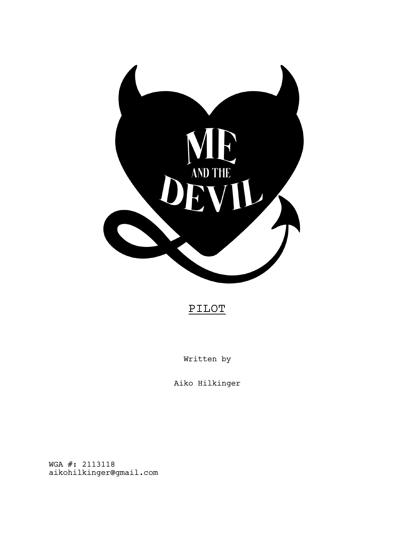

# PILOT

Written by

Aiko Hilkinger

WGA #: 2113118 aikohilkinger@gmail.com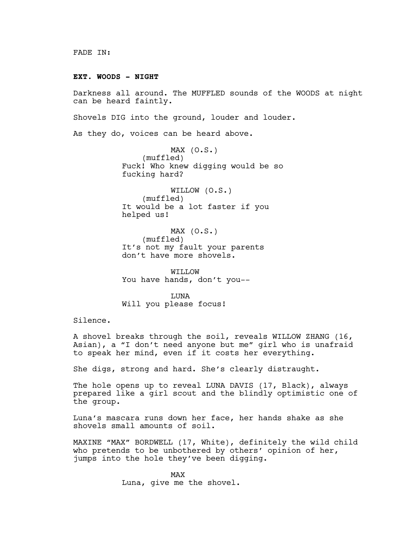#### **EXT. WOODS - NIGHT**

Darkness all around. The MUFFLED sounds of the WOODS at night can be heard faintly.

Shovels DIG into the ground, louder and louder.

As they do, voices can be heard above.

 $MAX (0.S.)$ (muffled) Fuck! Who knew digging would be so fucking hard?

WILLOW (O.S.) (muffled) It would be a lot faster if you helped us!

MAX (O.S.) (muffled) It's not my fault your parents don't have more shovels.

WILLOW You have hands, don't you--

LUNA Will you please focus!

Silence.

A shovel breaks through the soil, reveals WILLOW ZHANG (16, Asian), a "I don't need anyone but me" girl who is unafraid to speak her mind, even if it costs her everything.

She digs, strong and hard. She's clearly distraught.

The hole opens up to reveal LUNA DAVIS (17, Black), always prepared like a girl scout and the blindly optimistic one of the group.

Luna's mascara runs down her face, her hands shake as she shovels small amounts of soil.

MAXINE "MAX" BORDWELL (17, White), definitely the wild child who pretends to be unbothered by others' opinion of her, jumps into the hole they've been digging.

> MAX Luna, give me the shovel.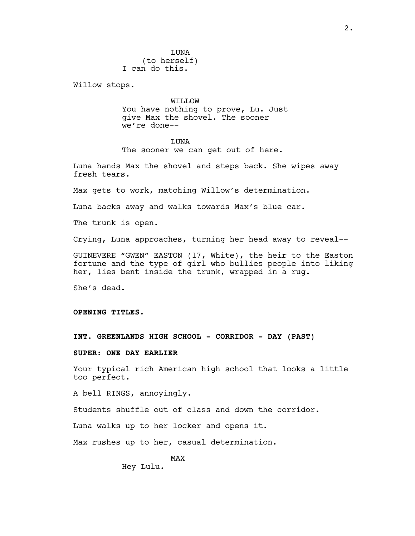**TJUNA** (to herself) I can do this.

Willow stops.

WILLOW You have nothing to prove, Lu. Just give Max the shovel. The sooner we're done--

LUNA

The sooner we can get out of here.

Luna hands Max the shovel and steps back. She wipes away fresh tears.

Max gets to work, matching Willow's determination.

Luna backs away and walks towards Max's blue car.

The trunk is open.

Crying, Luna approaches, turning her head away to reveal--

GUINEVERE "GWEN" EASTON (17, White), the heir to the Easton fortune and the type of girl who bullies people into liking her, lies bent inside the trunk, wrapped in a rug.

She's dead.

**OPENING TITLES.**

**INT. GREENLANDS HIGH SCHOOL - CORRIDOR - DAY (PAST)**

**SUPER**: **ONE DAY EARLIER**

Your typical rich American high school that looks a little too perfect.

A bell RINGS, annoyingly.

Students shuffle out of class and down the corridor.

Luna walks up to her locker and opens it.

Max rushes up to her, casual determination.

MAX Hey Lulu.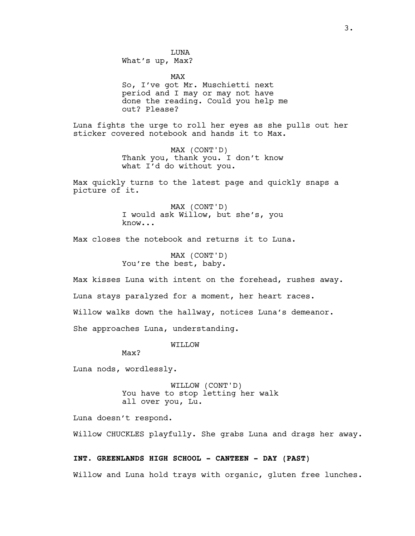**TJUNA** What's up, Max?

MAX So, I've got Mr. Muschietti next period and I may or may not have done the reading. Could you help me out? Please?

Luna fights the urge to roll her eyes as she pulls out her sticker covered notebook and hands it to Max.

> MAX (CONT'D) Thank you, thank you. I don't know what I'd do without you.

Max quickly turns to the latest page and quickly snaps a picture of it.

> MAX (CONT'D) I would ask Willow, but she's, you know...

Max closes the notebook and returns it to Luna.

MAX (CONT'D) You're the best, baby.

Max kisses Luna with intent on the forehead, rushes away.

Luna stays paralyzed for a moment, her heart races.

Willow walks down the hallway, notices Luna's demeanor.

She approaches Luna, understanding.

WILLOW

Max?

Luna nods, wordlessly.

WILLOW (CONT'D) You have to stop letting her walk all over you, Lu.

Luna doesn't respond.

Willow CHUCKLES playfully. She grabs Luna and drags her away.

# **INT. GREENLANDS HIGH SCHOOL - CANTEEN - DAY (PAST)**

Willow and Luna hold trays with organic, gluten free lunches.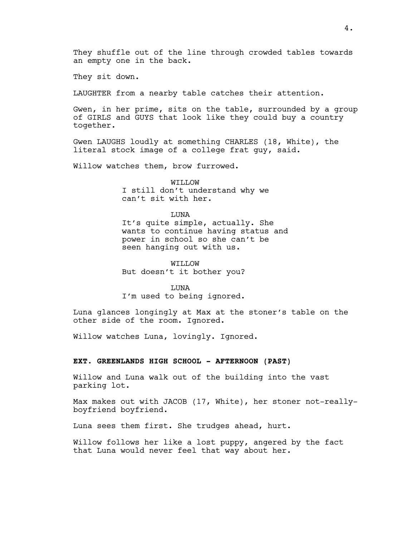They sit down.

LAUGHTER from a nearby table catches their attention.

Gwen, in her prime, sits on the table, surrounded by a group of GIRLS and GUYS that look like they could buy a country together.

Gwen LAUGHS loudly at something CHARLES (18, White), the literal stock image of a college frat guy, said.

Willow watches them, brow furrowed.

WILLOW I still don't understand why we can't sit with her.

LUNA It's quite simple, actually. She wants to continue having status and power in school so she can't be seen hanging out with us.

WILLOW But doesn't it bother you?

LUNA I'm used to being ignored.

Luna glances longingly at Max at the stoner's table on the other side of the room. Ignored.

Willow watches Luna, lovingly. Ignored.

## **EXT. GREENLANDS HIGH SCHOOL - AFTERNOON (PAST)**

Willow and Luna walk out of the building into the vast parking lot.

Max makes out with JACOB (17, White), her stoner not-reallyboyfriend boyfriend.

Luna sees them first. She trudges ahead, hurt.

Willow follows her like a lost puppy, angered by the fact that Luna would never feel that way about her.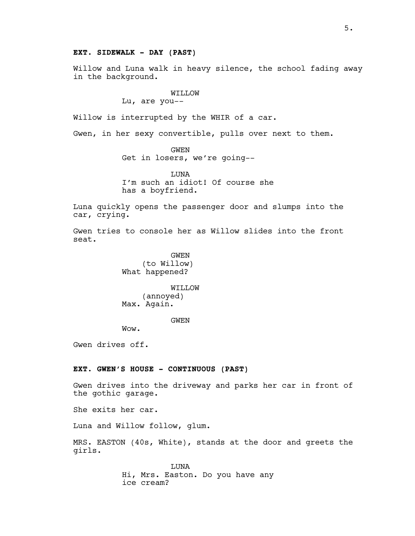## **EXT. SIDEWALK - DAY (PAST)**

Willow and Luna walk in heavy silence, the school fading away in the background.

## WILLOW

Lu, are you--

Willow is interrupted by the WHIR of a car.

Gwen, in her sexy convertible, pulls over next to them.

GWEN Get in losers, we're going--

**TJUNA** I'm such an idiot! Of course she has a boyfriend.

Luna quickly opens the passenger door and slumps into the car, crying.

Gwen tries to console her as Willow slides into the front seat.

> GWEN (to Willow) What happened?

WILLOW (annoyed) Max. Again.

**GWEN** 

Wow.

Gwen drives off.

# **EXT. GWEN'S HOUSE - CONTINUOUS (PAST)**

Gwen drives into the driveway and parks her car in front of the gothic garage.

She exits her car.

Luna and Willow follow, glum.

MRS. EASTON (40s, White), stands at the door and greets the girls.

> LUNA Hi, Mrs. Easton. Do you have any ice cream?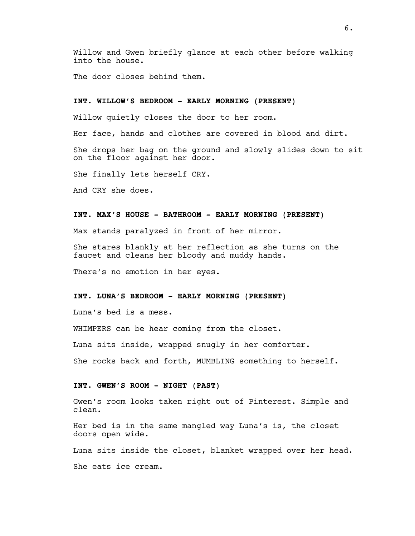Willow and Gwen briefly glance at each other before walking into the house.

The door closes behind them.

# **INT. WILLOW'S BEDROOM - EARLY MORNING (PRESENT)**

Willow quietly closes the door to her room.

Her face, hands and clothes are covered in blood and dirt.

She drops her bag on the ground and slowly slides down to sit on the floor against her door.

She finally lets herself CRY.

And CRY she does.

# **INT. MAX'S HOUSE - BATHROOM - EARLY MORNING (PRESENT)**

Max stands paralyzed in front of her mirror.

She stares blankly at her reflection as she turns on the faucet and cleans her bloody and muddy hands.

There's no emotion in her eyes.

# **INT. LUNA'S BEDROOM - EARLY MORNING (PRESENT)**

Luna's bed is a mess.

WHIMPERS can be hear coming from the closet.

Luna sits inside, wrapped snugly in her comforter.

She rocks back and forth, MUMBLING something to herself.

#### **INT. GWEN'S ROOM - NIGHT (PAST)**

Gwen's room looks taken right out of Pinterest. Simple and clean.

Her bed is in the same mangled way Luna's is, the closet doors open wide.

Luna sits inside the closet, blanket wrapped over her head.

She eats ice cream.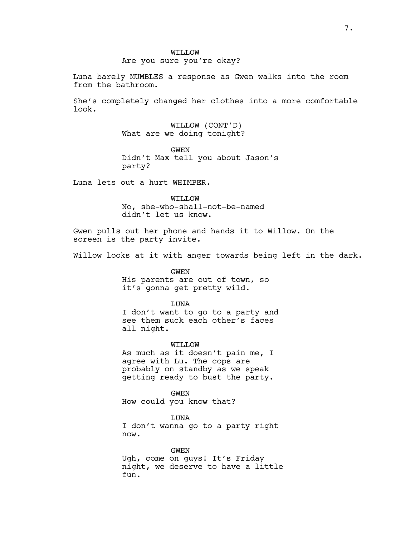# Are you sure you're okay?

Luna barely MUMBLES a response as Gwen walks into the room from the bathroom.

She's completely changed her clothes into a more comfortable look.

> WILLOW (CONT'D) What are we doing tonight?

GWEN Didn't Max tell you about Jason's party?

Luna lets out a hurt WHIMPER.

WILLOW No, she-who-shall-not-be-named didn't let us know.

Gwen pulls out her phone and hands it to Willow. On the screen is the party invite.

Willow looks at it with anger towards being left in the dark.

GWEN His parents are out of town, so it's gonna get pretty wild.

LUNA

I don't want to go to a party and see them suck each other's faces all night.

WILLOW

As much as it doesn't pain me, I agree with Lu. The cops are probably on standby as we speak getting ready to bust the party.

GWEN How could you know that?

LUNA I don't wanna go to a party right now.

GWEN Ugh, come on guys! It's Friday night, we deserve to have a little fun.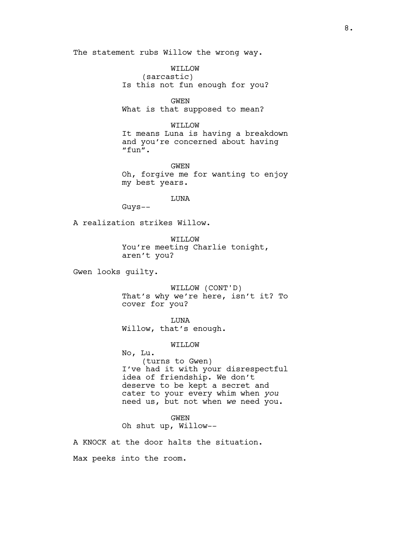The statement rubs Willow the wrong way.

WILLOW (sarcastic) Is this not fun enough for you?

GWEN What is that supposed to mean?

WILLOW It means Luna is having a breakdown and you're concerned about having "fun".

GWEN Oh, forgive me for wanting to enjoy my best years.

LUNA

Guys--

A realization strikes Willow.

WILLOW You're meeting Charlie tonight, aren't you?

Gwen looks guilty.

WILLOW (CONT'D) That's why we're here, isn't it? To cover for you?

LUNA Willow, that's enough.

WILLOW

No, Lu. (turns to Gwen) I've had it with your disrespectful idea of friendship. We don't deserve to be kept a secret and cater to your every whim when *you* need us, but not when *we* need you.

GWEN Oh shut up, Willow--

A KNOCK at the door halts the situation.

Max peeks into the room.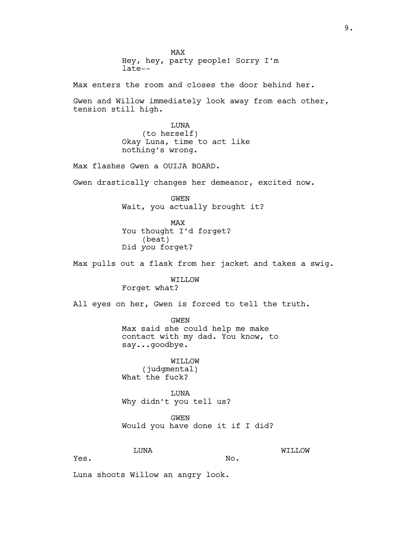MAX Hey, hey, party people! Sorry I'm late--

Max enters the room and closes the door behind her.

Gwen and Willow immediately look away from each other, tension still high.

> LUNA (to herself) Okay Luna, time to act like nothing's wrong.

Max flashes Gwen a OUIJA BOARD.

Gwen drastically changes her demeanor, excited now.

GWEN Wait, you actually brought it?

MAX You thought I'd forget? (beat) Did *you* forget?

Max pulls out a flask from her jacket and takes a swig.

WILLOW Forget what?

All eyes on her, Gwen is forced to tell the truth.

GWEN Max said she could help me make contact with my dad. You know, to say...goodbye.

WILLOW (judgmental) What the fuck?

LUNA Why didn't you tell us?

GWEN Would you have done it if I did?

No.

LUNA

WILLOW

Yes.

Luna shoots Willow an angry look.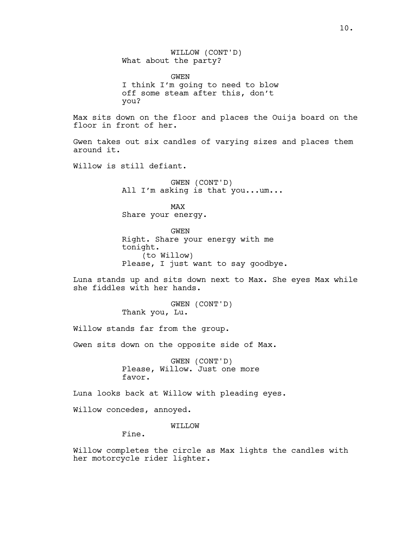WILLOW (CONT'D) What about the party? GWEN I think I'm going to need to blow off some steam after this, don't you? Max sits down on the floor and places the Ouija board on the floor in front of her. Gwen takes out six candles of varying sizes and places them around it. Willow is still defiant. GWEN (CONT'D) All I'm asking is that you...um... MAX Share your energy. GWEN Right. Share your energy with me tonight. (to Willow) Please, I just want to say goodbye. Luna stands up and sits down next to Max. She eyes Max while she fiddles with her hands. GWEN (CONT'D) Thank you, Lu. Willow stands far from the group. Gwen sits down on the opposite side of Max. GWEN (CONT'D) Please, Willow. Just one more favor. Luna looks back at Willow with pleading eyes. Willow concedes, annoyed.

WILLOW

Fine.

Willow completes the circle as Max lights the candles with her motorcycle rider lighter.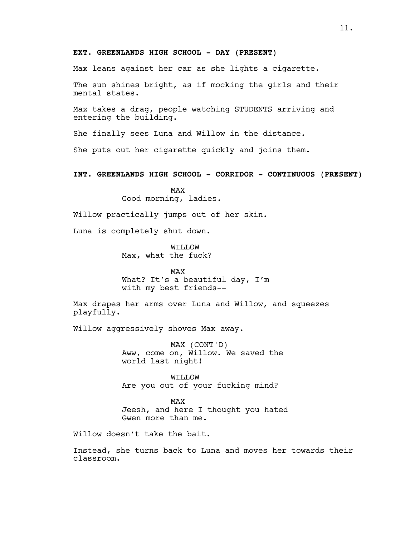# **EXT. GREENLANDS HIGH SCHOOL - DAY (PRESENT)**

Max leans against her car as she lights a cigarette.

The sun shines bright, as if mocking the girls and their mental states.

Max takes a drag, people watching STUDENTS arriving and entering the building.

She finally sees Luna and Willow in the distance.

She puts out her cigarette quickly and joins them.

**INT. GREENLANDS HIGH SCHOOL - CORRIDOR - CONTINUOUS (PRESENT)**

MAX Good morning, ladies.

Willow practically jumps out of her skin.

Luna is completely shut down.

WILLOW Max, what the fuck?

MAX What? It's a beautiful day, I'm with my best friends--

Max drapes her arms over Luna and Willow, and squeezes playfully.

Willow aggressively shoves Max away.

MAX (CONT'D) Aww, come on, Willow. We saved the world last night!

WILLOW Are you out of your fucking mind?

MAX Jeesh, and here I thought you hated Gwen more than me.

Willow doesn't take the bait.

Instead, she turns back to Luna and moves her towards their classroom.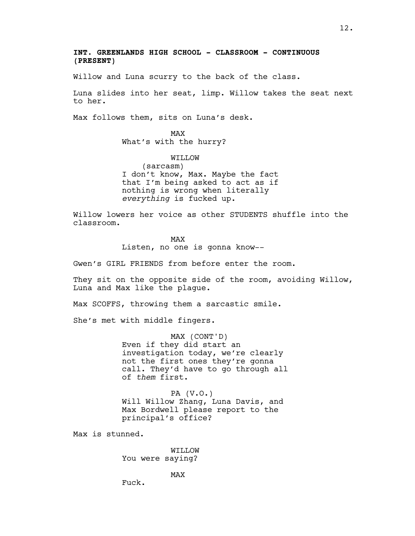# **INT. GREENLANDS HIGH SCHOOL - CLASSROOM - CONTINUOUS (PRESENT)**

Willow and Luna scurry to the back of the class.

Luna slides into her seat, limp. Willow takes the seat next to her.

Max follows them, sits on Luna's desk.

MAX What's with the hurry?

WILLOW

(sarcasm) I don't know, Max. Maybe the fact that I'm being asked to act as if nothing is wrong when literally *everything* is fucked up.

Willow lowers her voice as other STUDENTS shuffle into the classroom.

> MAX Listen, no one is gonna know--

Gwen's GIRL FRIENDS from before enter the room.

They sit on the opposite side of the room, avoiding Willow, Luna and Max like the plague.

Max SCOFFS, throwing them a sarcastic smile.

She's met with middle fingers.

MAX (CONT'D) Even if they did start an investigation today, we're clearly not the first ones they're gonna call. They'd have to go through all of *them* first.

PA (V.O.) Will Willow Zhang, Luna Davis, and Max Bordwell please report to the principal's office?

Max is stunned.

WILLOW You were saying?

MAX

Fuck.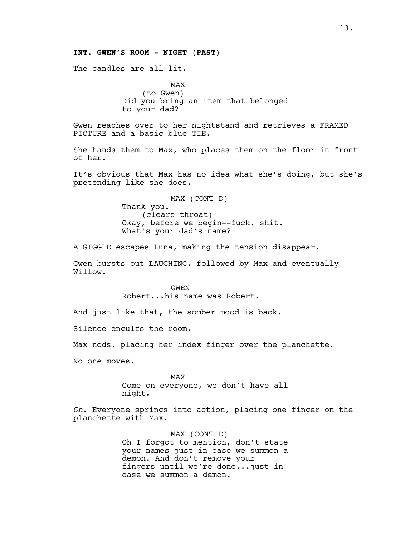# **INT. GWEN'S ROOM - NIGHT (PAST)**

The candles are all lit.

MAX (to Gwen) Did you bring an item that belonged to your dad?

Gwen reaches over to her nightstand and retrieves a FRAMED PICTURE and a basic blue TIE.

She hands them to Max, who places them on the floor in front of her.

It's obvious that Max has no idea what she's doing, but she's pretending like she does.

> MAX (CONT'D) Thank you. (clears throat) Okay, before we begin--fuck, shit. What's your dad's name?

A GIGGLE escapes Luna, making the tension disappear.

Gwen bursts out LAUGHING, followed by Max and eventually Willow.

> GWEN Robert...his name was Robert.

And just like that, the somber mood is back.

Silence engulfs the room.

Max nods, placing her index finger over the planchette.

No one moves.

MAX Come on everyone, we don't have all night.

*Oh*. Everyone springs into action, placing one finger on the planchette with Max.

> MAX (CONT'D) Oh I forgot to mention, don't state your names just in case we summon a demon. And don't remove your fingers until we're done...just in case we summon a demon.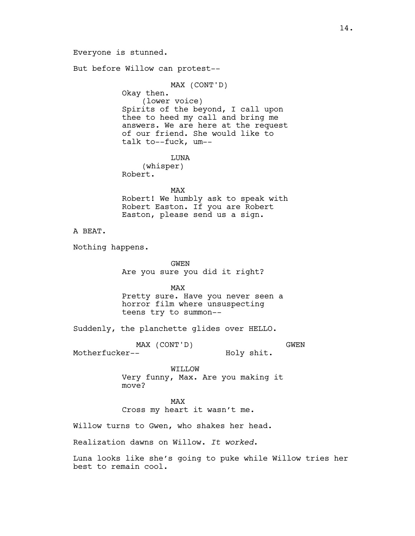Everyone is stunned. But before Willow can protest-- MAX (CONT'D) Okay then. (lower voice) Spirits of the beyond, I call upon thee to heed my call and bring me answers. We are here at the request of our friend. She would like to talk to--fuck, um-- LUNA (whisper) Robert. MAX Robert! We humbly ask to speak with Robert Easton. If you are Robert Easton, please send us a sign. A BEAT. Nothing happens. GWEN Are you sure you did it right? MAX Pretty sure. Have you never seen a horror film where unsuspecting teens try to summon-- Suddenly, the planchette glides over HELLO. MAX (CONT'D) Motherfucker-- GWEN Holy shit. WILLOW Very funny, Max. Are you making it move? MAX Cross my heart it wasn't me. Willow turns to Gwen, who shakes her head. Realization dawns on Willow. *It worked*.

Luna looks like she's going to puke while Willow tries her best to remain cool.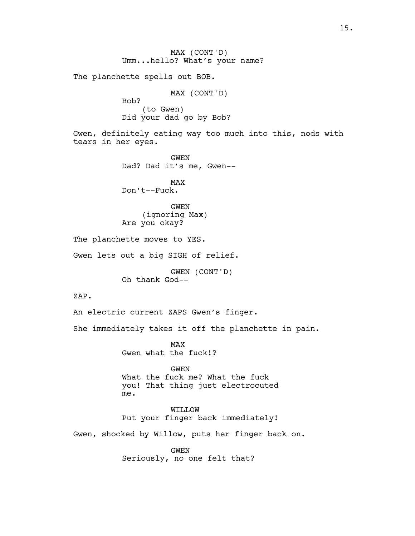MAX (CONT'D) Umm...hello? What's your name? The planchette spells out BOB. MAX (CONT'D) Bob? (to Gwen) Did your dad go by Bob? Gwen, definitely eating way too much into this, nods with tears in her eyes. GWEN Dad? Dad it's me, Gwen-- MAX Don't--Fuck. GWEN (ignoring Max) Are you okay? The planchette moves to YES. Gwen lets out a big SIGH of relief. GWEN (CONT'D) Oh thank God-- ZAP. An electric current ZAPS Gwen's finger. She immediately takes it off the planchette in pain. MAX Gwen what the fuck!? GWEN What the fuck me? What the fuck you! That thing just electrocuted me. WILLOW Put your finger back immediately! Gwen, shocked by Willow, puts her finger back on. GWEN Seriously, no one felt that?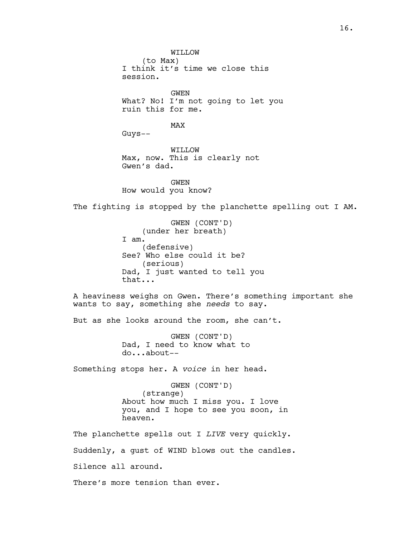WILLOW (to Max) I think it's time we close this session. GWEN What? No! I'm not going to let you ruin this for me. MAX Guys-- WILLOW Max, now. This is clearly not Gwen's dad. GWEN How would you know? The fighting is stopped by the planchette spelling out I AM. GWEN (CONT'D) (under her breath) I am. (defensive) See? Who else could it be? (serious) Dad, I just wanted to tell you that... A heaviness weighs on Gwen. There's something important she wants to say, something she *needs* to say. But as she looks around the room, she can't. GWEN (CONT'D) Dad, I need to know what to do...about-- Something stops her. A *voice* in her head. GWEN (CONT'D) (strange) About how much I miss you. I love you, and I hope to see you soon, in heaven. The planchette spells out I *LIVE* very quickly. Suddenly, a gust of WIND blows out the candles. Silence all around. There's more tension than ever.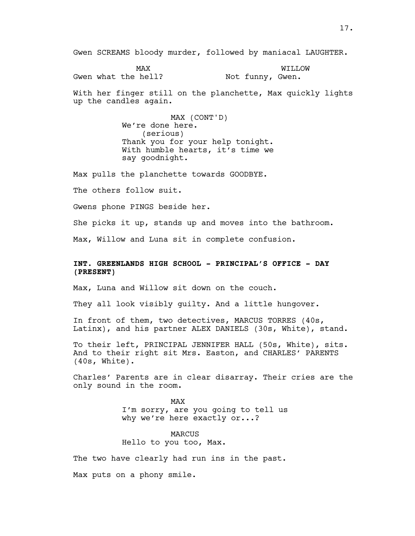Gwen SCREAMS bloody murder, followed by maniacal LAUGHTER.

MAX Gwen what the hell? WILLOW Not funny, Gwen.

With her finger still on the planchette, Max quickly lights up the candles again.

> MAX (CONT'D) We're done here. (serious) Thank you for your help tonight. With humble hearts, it's time we say goodnight.

Max pulls the planchette towards GOODBYE.

The others follow suit.

Gwens phone PINGS beside her.

She picks it up, stands up and moves into the bathroom.

Max, Willow and Luna sit in complete confusion.

# **INT. GREENLANDS HIGH SCHOOL - PRINCIPAL'S OFFICE - DAY (PRESENT)**

Max, Luna and Willow sit down on the couch.

They all look visibly guilty. And a little hungover.

In front of them, two detectives, MARCUS TORRES (40s, Latinx), and his partner ALEX DANIELS (30s, White), stand.

To their left, PRINCIPAL JENNIFER HALL (50s, White), sits. And to their right sit Mrs. Easton, and CHARLES' PARENTS (40s, White).

Charles' Parents are in clear disarray. Their cries are the only sound in the room.

> MAX I'm sorry, are you going to tell us why we're here exactly or...?

MARCUS Hello to you too, Max.

The two have clearly had run ins in the past.

Max puts on a phony smile.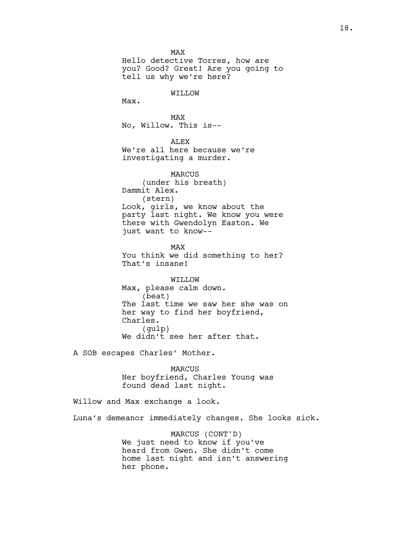MAX Hello detective Torres, how are you? Good? Great! Are you going to tell us why we're here?

# WILLOW

Max.

MAX No, Willow. This is--

ALEX We're all here because we're investigating a murder.

MARCUS (under his breath) Dammit Alex. (stern) Look, girls, we know about the party last night. We know you were there with Gwendolyn Easton. We just want to know--

MAX You think we did something to her? That's insane!

WILLOW Max, please calm down. (beat) The last time we saw her she was on her way to find her boyfriend, Charles. (gulp) We didn't see her after that.

A SOB escapes Charles' Mother.

MARCUS Her boyfriend, Charles Young was found dead last night.

Willow and Max exchange a look.

Luna's demeanor immediately changes. She looks sick.

MARCUS (CONT'D) We just need to know if you've heard from Gwen. She didn't come home last night and isn't answering her phone.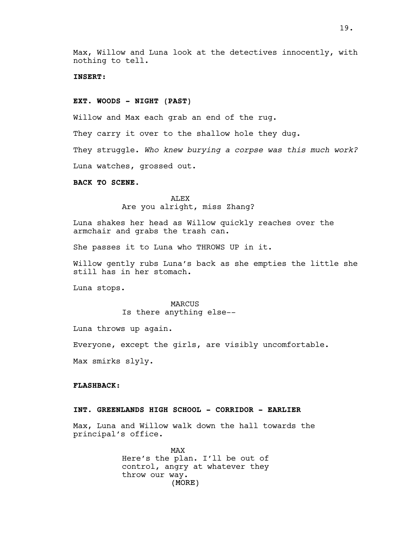# **INSERT:**

## **EXT. WOODS - NIGHT (PAST)**

Willow and Max each grab an end of the rug.

They carry it over to the shallow hole they dug.

They struggle. *Who knew burying a corpse was this much work?*

Luna watches, grossed out.

## **BACK TO SCENE.**

ALEX Are you alright, miss Zhang?

Luna shakes her head as Willow quickly reaches over the armchair and grabs the trash can.

She passes it to Luna who THROWS UP in it.

Willow gently rubs Luna's back as she empties the little she still has in her stomach.

Luna stops.

MARCUS Is there anything else--

Luna throws up again.

Everyone, except the girls, are visibly uncomfortable.

Max smirks slyly.

# **FLASHBACK:**

# **INT. GREENLANDS HIGH SCHOOL - CORRIDOR - EARLIER**

Max, Luna and Willow walk down the hall towards the principal's office.

> (MORE) MAX Here's the plan. I'll be out of control, angry at whatever they throw our way.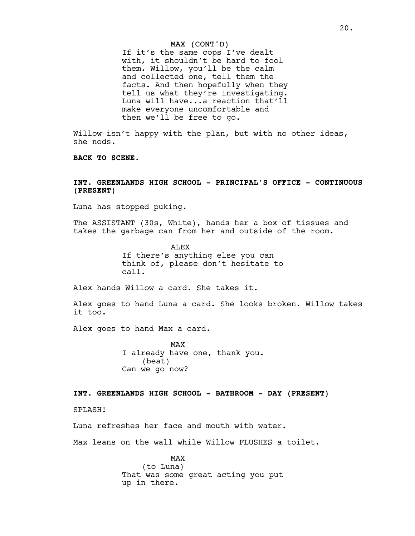#### MAX (CONT'D)

If it's the same cops I've dealt with, it shouldn't be hard to fool them. Willow, you'll be the calm and collected one, tell them the facts. And then hopefully when they tell us what they're investigating. Luna will have...a reaction that'll make everyone uncomfortable and then we'll be free to go.

Willow isn't happy with the plan, but with no other ideas, she nods.

**BACK TO SCENE.**

# **INT. GREENLANDS HIGH SCHOOL - PRINCIPAL'S OFFICE - CONTINUOUS (PRESENT)**

Luna has stopped puking.

The ASSISTANT (30s, White), hands her a box of tissues and takes the garbage can from her and outside of the room.

> **ALEX** If there's anything else you can think of, please don't hesitate to call.

Alex hands Willow a card. She takes it.

Alex goes to hand Luna a card. She looks broken. Willow takes it too.

Alex goes to hand Max a card.

MAX I already have one, thank you. (beat) Can we go now?

# **INT. GREENLANDS HIGH SCHOOL - BATHROOM - DAY (PRESENT)**

SPLASH!

Luna refreshes her face and mouth with water.

Max leans on the wall while Willow FLUSHES a toilet.

MAX (to Luna) That was some great acting you put up in there.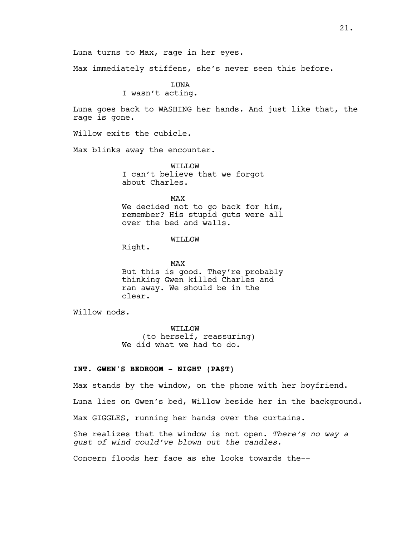Max immediately stiffens, she's never seen this before.

LUNA I wasn't acting.

Luna turns to Max, rage in her eyes.

Luna goes back to WASHING her hands. And just like that, the rage is gone.

Willow exits the cubicle.

Max blinks away the encounter.

WILLOW I can't believe that we forgot about Charles.

MAX

We decided not to go back for him, remember? His stupid guts were all over the bed and walls.

# WILLOW

Right.

MAX But this is good. They're probably thinking Gwen killed Charles and ran away. We should be in the clear.

Willow nods.

WILLOW (to herself, reassuring) We did what we had to do.

# **INT. GWEN'S BEDROOM - NIGHT (PAST)**

Max stands by the window, on the phone with her boyfriend. Luna lies on Gwen's bed, Willow beside her in the background. Max GIGGLES, running her hands over the curtains. She realizes that the window is not open. *There's no way a gust of wind could've blown out the candles*. Concern floods her face as she looks towards the--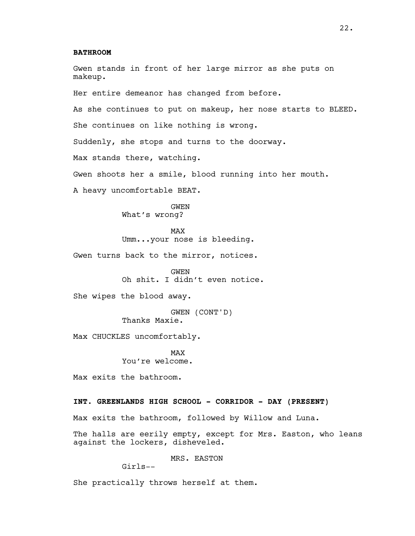# **BATHROOM**

Gwen stands in front of her large mirror as she puts on makeup. Her entire demeanor has changed from before. As she continues to put on makeup, her nose starts to BLEED. She continues on like nothing is wrong. Suddenly, she stops and turns to the doorway. Max stands there, watching. Gwen shoots her a smile, blood running into her mouth. A heavy uncomfortable BEAT. GWEN What's wrong? MAX Umm...your nose is bleeding. Gwen turns back to the mirror, notices. GWEN Oh shit. I didn't even notice. She wipes the blood away. GWEN (CONT'D) Thanks Maxie. Max CHUCKLES uncomfortably. MAX You're welcome. Max exits the bathroom. **INT. GREENLANDS HIGH SCHOOL - CORRIDOR - DAY (PRESENT)** Max exits the bathroom, followed by Willow and Luna. The halls are eerily empty, except for Mrs. Easton, who leans

MRS. EASTON

Girls--

against the lockers, disheveled.

She practically throws herself at them.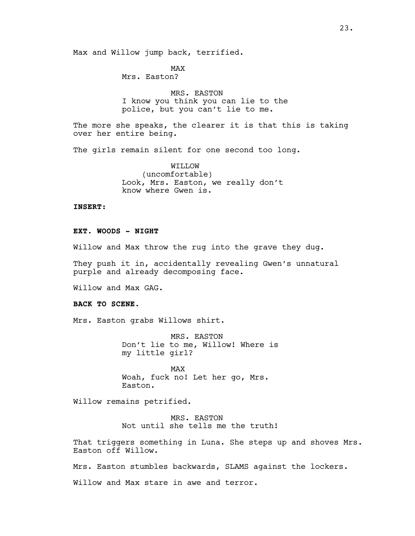Max and Willow jump back, terrified.

MAX Mrs. Easton?

MRS. EASTON I know you think you can lie to the police, but you can't lie to me.

The more she speaks, the clearer it is that this is taking over her entire being.

The girls remain silent for one second too long.

WILLOW (uncomfortable) Look, Mrs. Easton, we really don't know where Gwen is.

**INSERT:**

**EXT. WOODS - NIGHT**

Willow and Max throw the rug into the grave they dug.

They push it in, accidentally revealing Gwen's unnatural purple and already decomposing face.

Willow and Max GAG.

#### **BACK TO SCENE.**

Mrs. Easton grabs Willows shirt.

MRS. EASTON Don't lie to me, Willow! Where is my little girl?

MAX Woah, fuck no! Let her go, Mrs. Easton.

Willow remains petrified.

MRS. EASTON Not until she tells me the truth!

That triggers something in Luna. She steps up and shoves Mrs. Easton off Willow.

Mrs. Easton stumbles backwards, SLAMS against the lockers.

Willow and Max stare in awe and terror.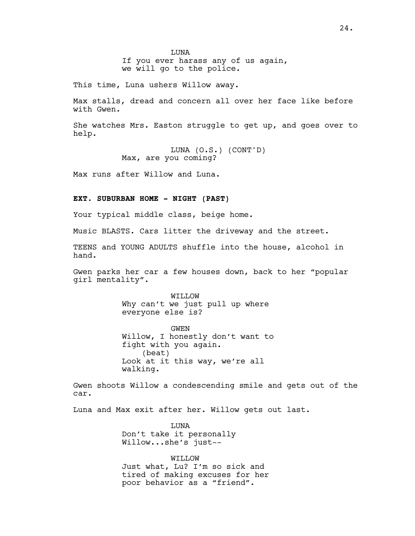**TJUNA** If you ever harass any of us again, we will go to the police.

This time, Luna ushers Willow away.

Max stalls, dread and concern all over her face like before with Gwen.

She watches Mrs. Easton struggle to get up, and goes over to help.

> LUNA (O.S.) (CONT'D) Max, are you coming?

Max runs after Willow and Luna.

#### **EXT. SUBURBAN HOME - NIGHT (PAST)**

Your typical middle class, beige home.

Music BLASTS. Cars litter the driveway and the street.

TEENS and YOUNG ADULTS shuffle into the house, alcohol in hand.

Gwen parks her car a few houses down, back to her "popular girl mentality".

> WILLOW Why can't we just pull up where everyone else is?

GWEN Willow, I honestly don't want to fight with you again. (beat) Look at it this way, we're all walking.

Gwen shoots Willow a condescending smile and gets out of the car.

Luna and Max exit after her. Willow gets out last.

LUNA Don't take it personally Willow...she's just--

WILLOW Just what, Lu? I'm so sick and tired of making excuses for her poor behavior as a "friend".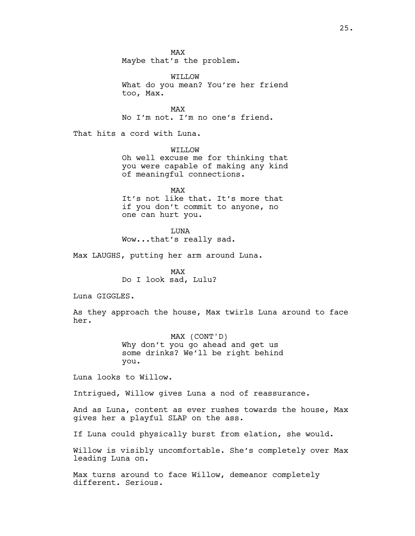MAX Maybe that's the problem.

WILLOW What do you mean? You're her friend too, Max.

MAX No I'm not. I'm no one's friend.

That hits a cord with Luna.

WILLOW

Oh well excuse me for thinking that you were capable of making any kind of meaningful connections.

MAX It's not like that. It's more that if you don't commit to anyone, no one can hurt you.

**TJUNA** Wow...that's really sad.

Max LAUGHS, putting her arm around Luna.

MAX Do I look sad, Lulu?

Luna GIGGLES.

As they approach the house, Max twirls Luna around to face her.

> MAX (CONT'D) Why don't you go ahead and get us some drinks? We'll be right behind you.

Luna looks to Willow.

Intrigued, Willow gives Luna a nod of reassurance.

And as Luna, content as ever rushes towards the house, Max gives her a playful SLAP on the ass.

If Luna could physically burst from elation, she would.

Willow is visibly uncomfortable. She's completely over Max leading Luna on.

Max turns around to face Willow, demeanor completely different. Serious.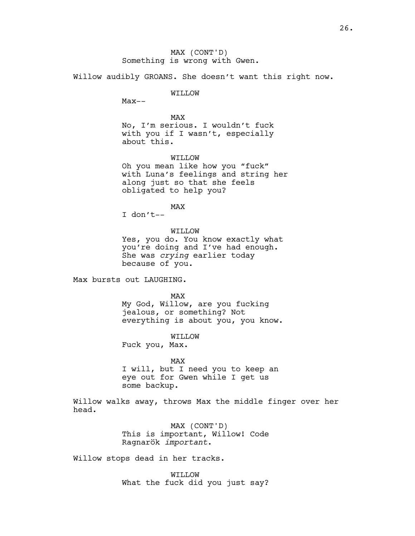MAX (CONT'D) Something is wrong with Gwen.

Willow audibly GROANS. She doesn't want this right now.

# WILLOW

 $Max--$ 

# MAX

No, I'm serious. I wouldn't fuck with you if I wasn't, especially about this.

#### WILLOW

Oh you mean like how you "fuck" with Luna's feelings and string her along just so that she feels obligated to help you?

MAX

I don't--

## WILLOW

Yes, you do. You know exactly what you're doing and I've had enough. She was *crying* earlier today because of you.

Max bursts out LAUGHING.

MAX

My God, Willow, are you fucking jealous, or something? Not everything is about you, you know.

#### WILLOW

Fuck you, Max.

#### MAX

I will, but I need you to keep an eye out for Gwen while I get us some backup.

Willow walks away, throws Max the middle finger over her head.

> MAX (CONT'D) This is important, Willow! Code Ragnarök *important*.

Willow stops dead in her tracks.

WILLOW What the fuck did you just say?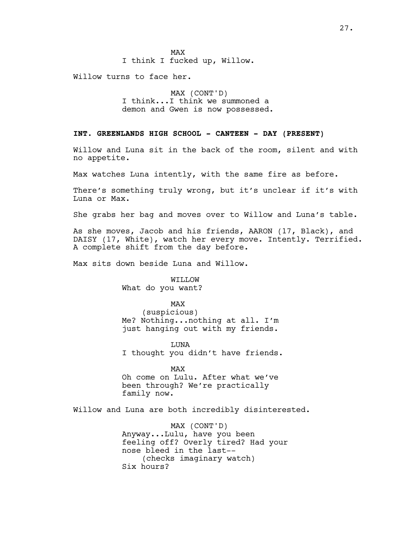MAX I think I fucked up, Willow.

Willow turns to face her.

MAX (CONT'D) I think...I think we summoned a demon and Gwen is now possessed.

# **INT. GREENLANDS HIGH SCHOOL - CANTEEN - DAY (PRESENT)**

Willow and Luna sit in the back of the room, silent and with no appetite.

Max watches Luna intently, with the same fire as before.

There's something truly wrong, but it's unclear if it's with Luna or Max.

She grabs her bag and moves over to Willow and Luna's table.

As she moves, Jacob and his friends, AARON (17, Black), and DAISY (17, White), watch her every move. Intently. Terrified. A complete shift from the day before.

Max sits down beside Luna and Willow.

WILLOW What do you want?

MAX

(suspicious) Me? Nothing...nothing at all. I'm just hanging out with my friends.

LUNA I thought you didn't have friends.

MAX

Oh come on Lulu. After what we've been through? We're practically family now.

Willow and Luna are both incredibly disinterested.

MAX (CONT'D) Anyway...Lulu, have you been feeling off? Overly tired? Had your nose bleed in the last-- (checks imaginary watch) Six hours?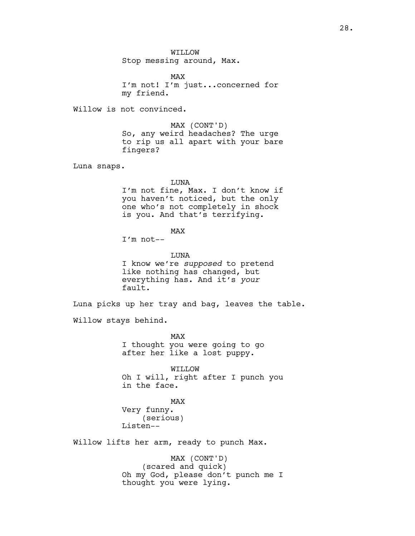WILLOW Stop messing around, Max.

MAX I'm not! I'm just...concerned for my friend.

Willow is not convinced.

MAX (CONT'D) So, any weird headaches? The urge to rip us all apart with your bare fingers?

Luna snaps.

LUNA

I'm not fine, Max. I don't know if you haven't noticed, but the only one who's not completely in shock is you. And that's terrifying.

MAX

I'm not--

LUNA I know we're *supposed* to pretend like nothing has changed, but everything has. And it's *your* fault.

Luna picks up her tray and bag, leaves the table.

Willow stays behind.

MAX I thought you were going to go after her like a lost puppy.

WILLOW Oh I will, right after I punch you in the face.

MAX Very funny. (serious) Listen--

Willow lifts her arm, ready to punch Max.

MAX (CONT'D) (scared and quick) Oh my God, please don't punch me I thought you were lying.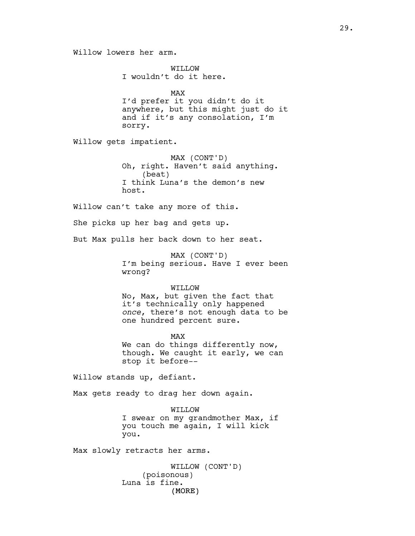Willow lowers her arm.

WILLOW I wouldn't do it here.

MAX I'd prefer it you didn't do it anywhere, but this might just do it and if it's any consolation, I'm sorry.

Willow gets impatient.

MAX (CONT'D) Oh, right. Haven't said anything. (beat) I think Luna's the demon's new host.

Willow can't take any more of this.

She picks up her bag and gets up.

But Max pulls her back down to her seat.

MAX (CONT'D) I'm being serious. Have I ever been wrong?

#### WILLOW

No, Max, but given the fact that it's technically only happened *once*, there's not enough data to be one hundred percent sure.

MAX We can do things differently now, though. We caught it early, we can stop it before--

Willow stands up, defiant.

Max gets ready to drag her down again.

WILLOW I swear on my grandmother Max, if you touch me again, I will kick you.

Max slowly retracts her arms.

(MORE) WILLOW (CONT'D) (poisonous) Luna is fine.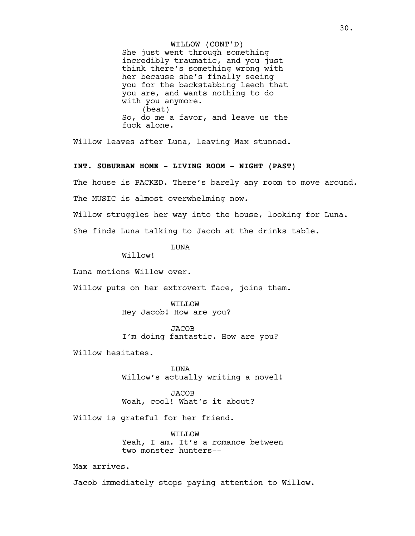## WILLOW (CONT'D)

She just went through something incredibly traumatic, and you just think there's something wrong with her because she's finally seeing you for the backstabbing leech that you are, and wants nothing to do with you anymore. (beat) So, do me a favor, and leave us the fuck alone.

Willow leaves after Luna, leaving Max stunned.

# **INT. SUBURBAN HOME - LIVING ROOM - NIGHT (PAST)**

The house is PACKED. There's barely any room to move around.

The MUSIC is almost overwhelming now.

Willow struggles her way into the house, looking for Luna.

She finds Luna talking to Jacob at the drinks table.

**TJUNA** 

Willow!

Luna motions Willow over.

Willow puts on her extrovert face, joins them.

WILLOW Hey Jacob! How are you?

JACOB I'm doing fantastic. How are you?

Willow hesitates.

LUNA Willow's actually writing a novel!

JACOB Woah, cool! What's it about?

Willow is grateful for her friend.

WILLOW Yeah, I am. It's a romance between two monster hunters--

Max arrives.

Jacob immediately stops paying attention to Willow.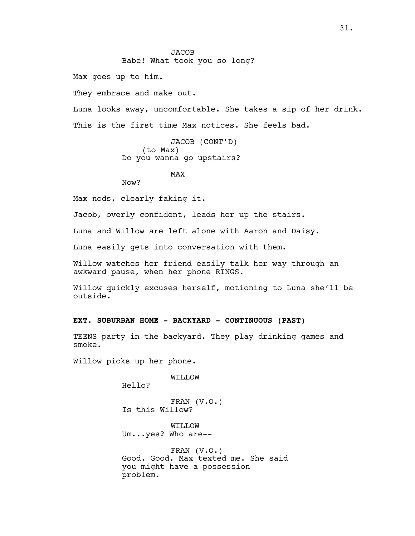# JACOB Babe! What took you so long?

Max goes up to him.

They embrace and make out.

Luna looks away, uncomfortable. She takes a sip of her drink. This is the first time Max notices. She feels bad.

> JACOB (CONT'D) (to Max) Do you wanna go upstairs?

## MAX

Now?

Max nods, clearly faking it.

Jacob, overly confident, leads her up the stairs.

Luna and Willow are left alone with Aaron and Daisy.

Luna easily gets into conversation with them.

Willow watches her friend easily talk her way through an awkward pause, when her phone RINGS.

Willow quickly excuses herself, motioning to Luna she'll be outside.

# **EXT. SUBURBAN HOME - BACKYARD - CONTINUOUS (PAST)**

TEENS party in the backyard. They play drinking games and smoke.

Willow picks up her phone.

WILLOW

Hello?

FRAN (V.O.) Is this Willow?

WILLOW Um...yes? Who are--

FRAN (V.O.) Good. Good. Max texted me. She said you might have a possession problem.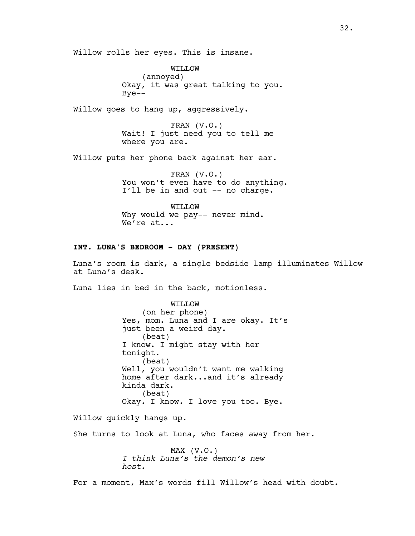Willow rolls her eyes. This is insane.

WILLOW (annoyed) Okay, it was great talking to you. Bye--

Willow goes to hang up, aggressively.

FRAN (V.O.) Wait! I just need you to tell me where you are.

Willow puts her phone back against her ear.

FRAN (V.O.) You won't even have to do anything. I'll be in and out -- no charge.

WILLOW Why would we pay-- never mind. We're at...

## **INT. LUNA'S BEDROOM - DAY (PRESENT)**

Luna's room is dark, a single bedside lamp illuminates Willow at Luna's desk.

Luna lies in bed in the back, motionless.

WILLOW (on her phone) Yes, mom. Luna and I are okay. It's just been a weird day. (beat) I know. I might stay with her tonight. (beat) Well, you wouldn't want me walking home after dark...and it's already kinda dark. (beat) Okay. I know. I love you too. Bye.

Willow quickly hangs up.

She turns to look at Luna, who faces away from her.

MAX (V.O.) *I think Luna's the demon's new host*.

For a moment, Max's words fill Willow's head with doubt.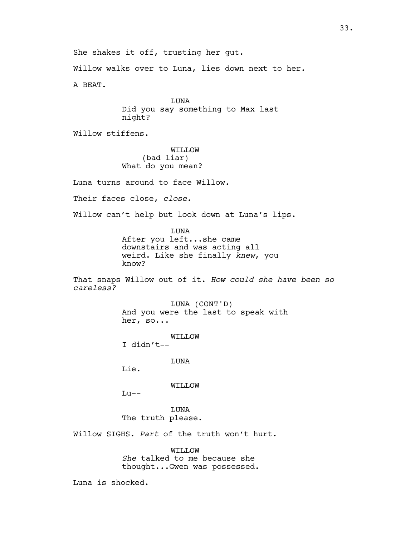She shakes it off, trusting her gut. Willow walks over to Luna, lies down next to her.

A BEAT.

LUNA Did you say something to Max last night?

Willow stiffens.

WILLOW (bad liar) What do you mean?

Luna turns around to face Willow.

Their faces close, *close*.

Willow can't help but look down at Luna's lips.

LUNA After you left...she came downstairs and was acting all weird. Like she finally *knew*, you know?

That snaps Willow out of it. *How could she have been so careless?*

> LUNA (CONT'D) And you were the last to speak with her, so...

> > WILLOW

I didn't--

LUNA

Lie.

WILLOW

 $Lu--$ 

LUNA The truth please.

Willow SIGHS. *Part* of the truth won't hurt.

WILLOW *She* talked to me because she thought...Gwen was possessed.

Luna is shocked.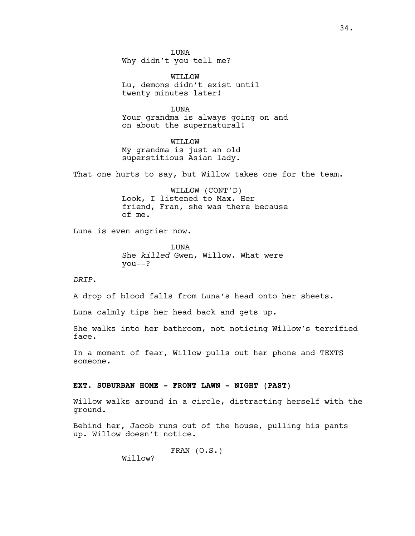**TJUNA** Why didn't you tell me?

WILLOW Lu, demons didn't exist until twenty minutes later!

LUNA Your grandma is always going on and on about the supernatural!

WILLOW My grandma is just an old superstitious Asian lady.

That one hurts to say, but Willow takes one for the team.

WILLOW (CONT'D) Look, I listened to Max. Her friend, Fran, she was there because of me.

Luna is even angrier now.

**TJUNA** She *killed* Gwen, Willow. What were you--?

*DRIP*.

A drop of blood falls from Luna's head onto her sheets.

Luna calmly tips her head back and gets up.

She walks into her bathroom, not noticing Willow's terrified face.

In a moment of fear, Willow pulls out her phone and TEXTS someone.

## **EXT. SUBURBAN HOME - FRONT LAWN - NIGHT (PAST)**

Willow walks around in a circle, distracting herself with the ground.

Behind her, Jacob runs out of the house, pulling his pants up. Willow doesn't notice.

FRAN (O.S.)

Willow?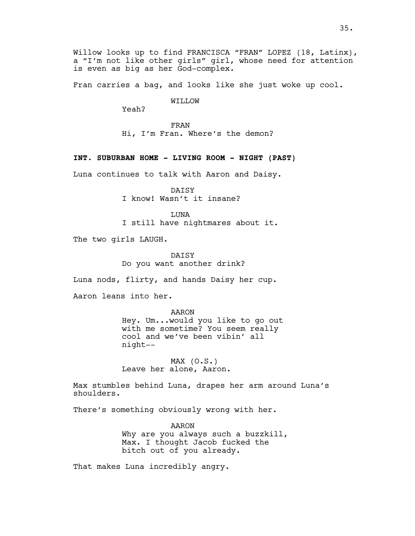Willow looks up to find FRANCISCA "FRAN" LOPEZ (18, Latinx), a "I'm not like other girls" girl, whose need for attention is even as big as her God-complex.

Fran carries a bag, and looks like she just woke up cool.

WILLOW

Yeah?

FRAN Hi, I'm Fran. Where's the demon?

## **INT. SUBURBAN HOME - LIVING ROOM - NIGHT (PAST)**

Luna continues to talk with Aaron and Daisy.

DAISY I know! Wasn't it insane?

LUNA I still have nightmares about it.

The two girls LAUGH.

DATSY Do you want another drink?

Luna nods, flirty, and hands Daisy her cup.

Aaron leans into her.

AARON Hey. Um...would you like to go out with me sometime? You seem really cool and we've been vibin' all night--

MAX (O.S.) Leave her alone, Aaron.

Max stumbles behind Luna, drapes her arm around Luna's shoulders.

There's something obviously wrong with her.

AARON Why are you always such a buzzkill, Max. I thought Jacob fucked the bitch out of you already.

That makes Luna incredibly angry.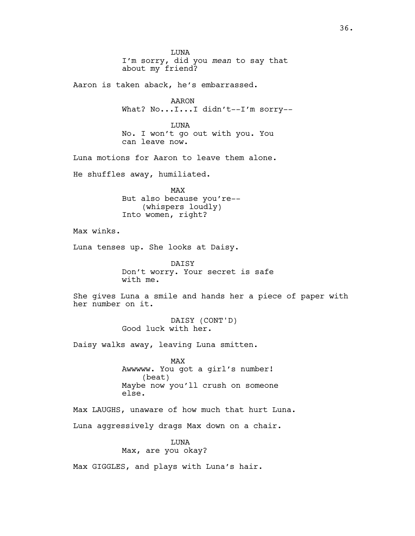LUNA I'm sorry, did you *mean* to say that about my friend? Aaron is taken aback, he's embarrassed. AARON What? No...I...I didn't--I'm sorry--LUNA No. I won't go out with you. You can leave now. Luna motions for Aaron to leave them alone. He shuffles away, humiliated. MAX But also because you're-- (whispers loudly) Into women, right? Max winks. Luna tenses up. She looks at Daisy. DAISY Don't worry. Your secret is safe with me. She gives Luna a smile and hands her a piece of paper with her number on it. DAISY (CONT'D) Good luck with her. Daisy walks away, leaving Luna smitten. MAX Awwwww. You got a girl's number! (beat) Maybe now you'll crush on someone else. Max LAUGHS, unaware of how much that hurt Luna. Luna aggressively drags Max down on a chair. LUNA Max, are you okay? Max GIGGLES, and plays with Luna's hair.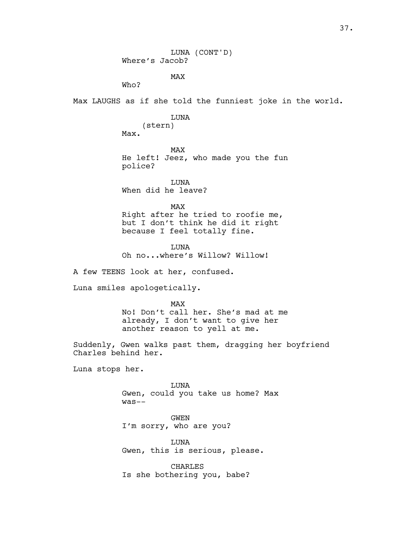LUNA (CONT'D) Where's Jacob? MAX Max LAUGHS as if she told the funniest joke in the world. LUNA (stern) MAX He left! Jeez, who made you the fun LUNA When did he leave? MAX Right after he tried to roofie me, but I don't think he did it right because I feel totally fine. **TJUNA** Oh no...where's Willow? Willow! A few TEENS look at her, confused. Luna smiles apologetically. MAX

No! Don't call her. She's mad at me already, I don't want to give her another reason to yell at me.

Suddenly, Gwen walks past them, dragging her boyfriend Charles behind her.

Luna stops her.

Who?

Max.

police?

LUNA Gwen, could you take us home? Max was--

GWEN I'm sorry, who are you?

LUNA Gwen, this is serious, please.

CHARLES Is she bothering you, babe?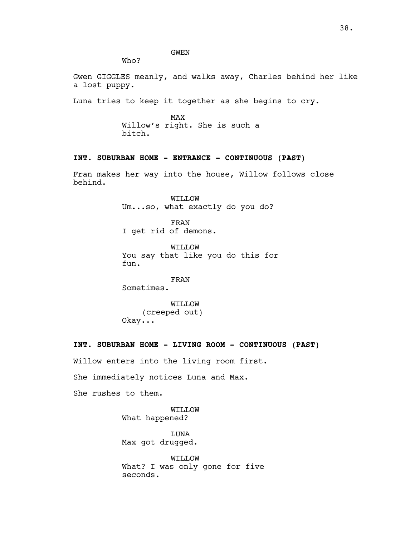GWEN

Who?

Gwen GIGGLES meanly, and walks away, Charles behind her like a lost puppy.

Luna tries to keep it together as she begins to cry.

MAX Willow's right. She is such a bitch.

# **INT. SUBURBAN HOME - ENTRANCE - CONTINUOUS (PAST)**

Fran makes her way into the house, Willow follows close behind.

> WILLOW Um...so, what exactly do you do?

FRAN I get rid of demons.

WILLOW You say that like you do this for fun.

FRAN Sometimes.

WILLOW (creeped out) Okay...

## **INT. SUBURBAN HOME - LIVING ROOM - CONTINUOUS (PAST)**

Willow enters into the living room first.

She immediately notices Luna and Max.

She rushes to them.

WILLOW What happened?

LUNA Max got drugged.

WILLOW What? I was only gone for five seconds.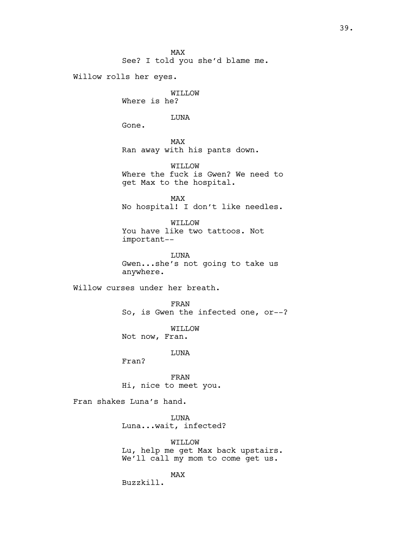MAX See? I told you she'd blame me.

Willow rolls her eyes.

WILLOW Where is he?

LUNA

Gone.

MAX Ran away with his pants down.

WILLOW Where the fuck is Gwen? We need to get Max to the hospital.

MAX No hospital! I don't like needles.

WILLOW You have like two tattoos. Not important--

LUNA Gwen...she's not going to take us anywhere.

Willow curses under her breath.

FRAN So, is Gwen the infected one, or--?

WILLOW Not now, Fran.

LUNA

Fran?

FRAN Hi, nice to meet you.

Fran shakes Luna's hand.

LUNA Luna...wait, infected?

WILLOW Lu, help me get Max back upstairs. We'll call my mom to come get us.

MAX

Buzzkill.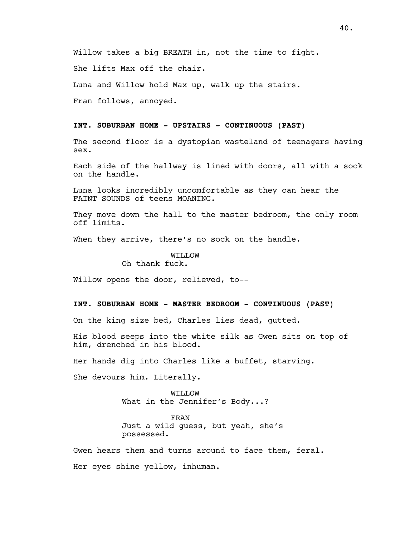She lifts Max off the chair.

Luna and Willow hold Max up, walk up the stairs.

Fran follows, annoyed.

# **INT. SUBURBAN HOME - UPSTAIRS - CONTINUOUS (PAST)**

The second floor is a dystopian wasteland of teenagers having sex.

Each side of the hallway is lined with doors, all with a sock on the handle.

Luna looks incredibly uncomfortable as they can hear the FAINT SOUNDS of teens MOANING.

They move down the hall to the master bedroom, the only room off limits.

When they arrive, there's no sock on the handle.

#### WILLOW Oh thank fuck.

Willow opens the door, relieved, to--

## **INT. SUBURBAN HOME - MASTER BEDROOM - CONTINUOUS (PAST)**

On the king size bed, Charles lies dead, gutted.

His blood seeps into the white silk as Gwen sits on top of him, drenched in his blood.

Her hands dig into Charles like a buffet, starving.

She devours him. Literally.

WILLOW What in the Jennifer's Body...?

FRAN Just a wild guess, but yeah, she's possessed.

Gwen hears them and turns around to face them, feral. Her eyes shine yellow, inhuman.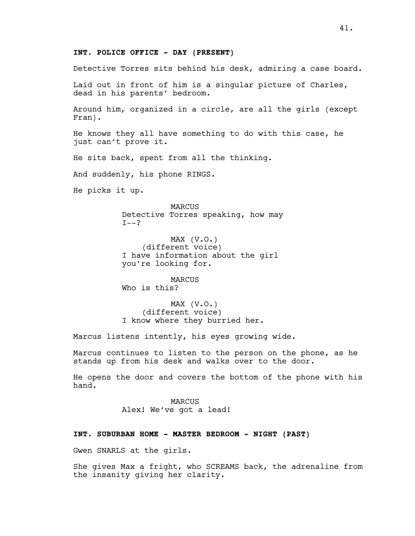Detective Torres sits behind his desk, admiring a case board.

Laid out in front of him is a singular picture of Charles, dead in his parents' bedroom.

Around him, organized in a circle, are all the girls (except Fran).

He knows they all have something to do with this case, he just can't prove it.

He sits back, spent from all the thinking.

And suddenly, his phone RINGS.

He picks it up.

MARCUS Detective Torres speaking, how may  $I--?$ 

MAX  $(V.O.)$ (different voice) I have information about the girl you're looking for.

MARCUS Who is this?

MAX  $(V.O.)$ (different voice) I know where they burried her.

Marcus listens intently, his eyes growing wide.

Marcus continues to listen to the person on the phone, as he stands up from his desk and walks over to the door.

He opens the door and covers the bottom of the phone with his hand.

> MARCUS Alex! We've got a lead!

#### **INT. SUBURBAN HOME - MASTER BEDROOM - NIGHT (PAST)**

Gwen SNARLS at the girls.

She gives Max a fright, who SCREAMS back, the adrenaline from the insanity giving her clarity.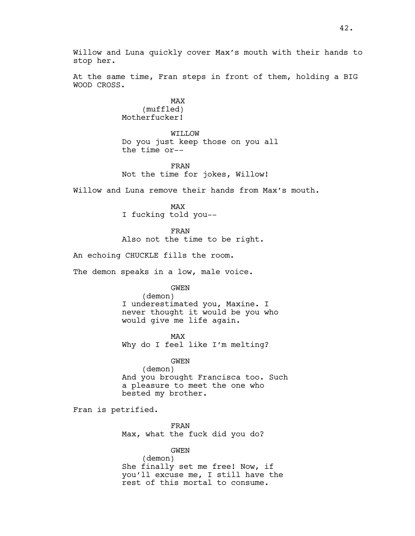Willow and Luna quickly cover Max's mouth with their hands to stop her.

At the same time, Fran steps in front of them, holding a BIG WOOD CROSS.

> MAX (muffled) Motherfucker!

WILLOW Do you just keep those on you all the time or--

FRAN Not the time for jokes, Willow!

Willow and Luna remove their hands from Max's mouth.

MAX I fucking told you--

FRAN Also not the time to be right.

An echoing CHUCKLE fills the room.

The demon speaks in a low, male voice.

GWEN

(demon) I underestimated you, Maxine. I never thought it would be you who would give me life again.

MAX Why do I feel like I'm melting?

GWEN (demon) And you brought Francisca too. Such a pleasure to meet the one who bested my brother.

Fran is petrified.

FRAN Max, what the fuck did you do?

GWEN

(demon) She finally set me free! Now, if you'll excuse me, I still have the rest of this mortal to consume.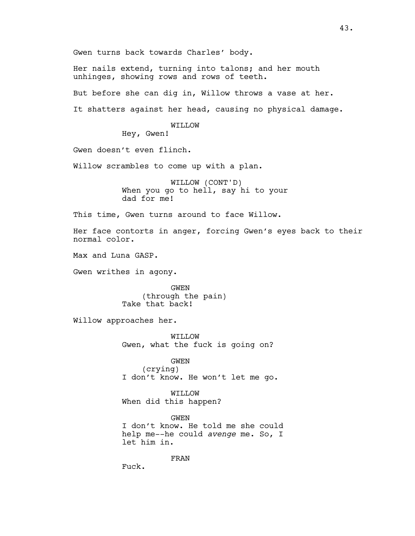Gwen turns back towards Charles' body.

Her nails extend, turning into talons; and her mouth unhinges, showing rows and rows of teeth.

But before she can dig in, Willow throws a vase at her.

It shatters against her head, causing no physical damage.

WILLOW

Hey, Gwen!

Gwen doesn't even flinch.

Willow scrambles to come up with a plan.

WILLOW (CONT'D) When you go to hell, say hi to your dad for me!

This time, Gwen turns around to face Willow.

Her face contorts in anger, forcing Gwen's eyes back to their normal color.

Max and Luna GASP.

Gwen writhes in agony.

GWEN (through the pain) Take that back!

Willow approaches her.

WILLOW Gwen, what the fuck is going on?

GWEN (crying) I don't know. He won't let me go.

WILLOW When did this happen?

GWEN I don't know. He told me she could help me--he could *avenge* me. So, I let him in.

FRAN

Fuck.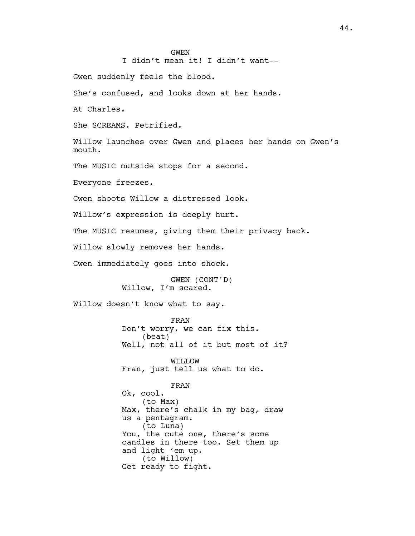#### GWEN

I didn't mean it! I didn't want--

Gwen suddenly feels the blood.

She's confused, and looks down at her hands.

At Charles.

She SCREAMS. Petrified.

Willow launches over Gwen and places her hands on Gwen's mouth.

The MUSIC outside stops for a second.

Everyone freezes.

Gwen shoots Willow a distressed look.

Willow's expression is deeply hurt.

The MUSIC resumes, giving them their privacy back.

Willow slowly removes her hands.

Gwen immediately goes into shock.

GWEN (CONT'D) Willow, I'm scared.

Willow doesn't know what to say.

FRAN Don't worry, we can fix this. (beat) Well, not all of it but most of it?

WILLOW Fran, just tell us what to do.

FRAN Ok, cool. (to Max) Max, there's chalk in my bag, draw us a pentagram. (to Luna) You, the cute one, there's some candles in there too. Set them up and light 'em up. (to Willow) Get ready to fight.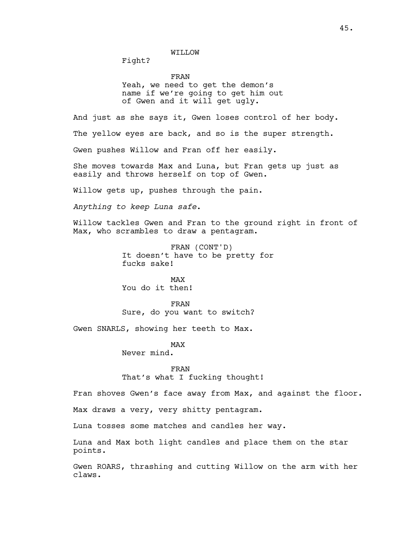WILLOW

Fight?

FRAN

Yeah, we need to get the demon's name if we're going to get him out of Gwen and it will get ugly.

And just as she says it, Gwen loses control of her body.

The yellow eyes are back, and so is the super strength.

Gwen pushes Willow and Fran off her easily.

She moves towards Max and Luna, but Fran gets up just as easily and throws herself on top of Gwen.

Willow gets up, pushes through the pain.

*Anything to keep Luna safe*.

Willow tackles Gwen and Fran to the ground right in front of Max, who scrambles to draw a pentagram.

> FRAN (CONT'D) It doesn't have to be pretty for fucks sake!

MAX You do it then!

FRAN Sure, do you want to switch?

Gwen SNARLS, showing her teeth to Max.

MAX

Never mind.

FRAN That's what I fucking thought!

Fran shoves Gwen's face away from Max, and against the floor.

Max draws a very, very shitty pentagram.

Luna tosses some matches and candles her way.

Luna and Max both light candles and place them on the star points.

Gwen ROARS, thrashing and cutting Willow on the arm with her claws.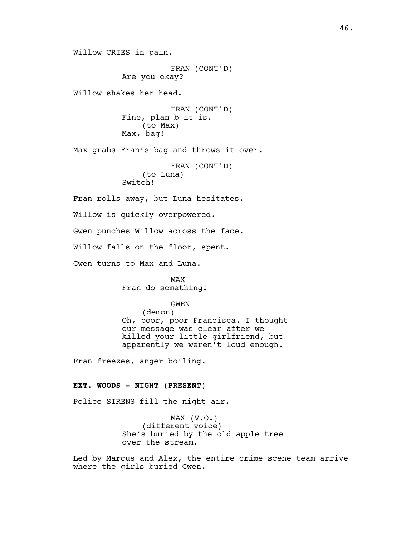Willow CRIES in pain. FRAN (CONT'D) Are you okay? Willow shakes her head. FRAN (CONT'D) Fine, plan b it is. (to Max) Max, bag! Max grabs Fran's bag and throws it over. FRAN (CONT'D) (to Luna) Switch! Fran rolls away, but Luna hesitates. Willow is quickly overpowered. Gwen punches Willow across the face. Willow falls on the floor, spent.

Gwen turns to Max and Luna.

MAX Fran do something!

GWEN

(demon) Oh, poor, poor Francisca. I thought our message was clear after we killed your little girlfriend, but apparently we weren't loud enough.

Fran freezes, anger boiling.

## **EXT. WOODS - NIGHT (PRESENT)**

Police SIRENS fill the night air.

MAX (V.O.) (different voice) She's buried by the old apple tree over the stream.

Led by Marcus and Alex, the entire crime scene team arrive where the girls buried Gwen.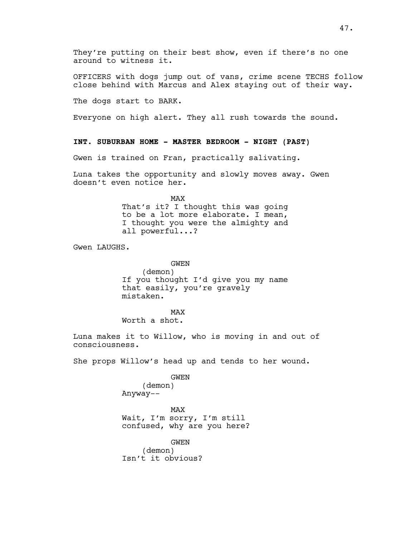They're putting on their best show, even if there's no one around to witness it.

OFFICERS with dogs jump out of vans, crime scene TECHS follow close behind with Marcus and Alex staying out of their way.

The dogs start to BARK.

Everyone on high alert. They all rush towards the sound.

## **INT. SUBURBAN HOME - MASTER BEDROOM - NIGHT (PAST)**

Gwen is trained on Fran, practically salivating.

Luna takes the opportunity and slowly moves away. Gwen doesn't even notice her.

> MAX That's it? I thought this was going to be a lot more elaborate. I mean, I thought you were the almighty and all powerful...?

Gwen LAUGHS.

GWEN (demon) If you thought I'd give you my name that easily, you're gravely mistaken.

MAX Worth a shot.

Luna makes it to Willow, who is moving in and out of consciousness.

She props Willow's head up and tends to her wound.

GWEN

(demon) Anyway--

MAX Wait, I'm sorry, I'm still confused, why are you here?

GWEN (demon) Isn't it obvious?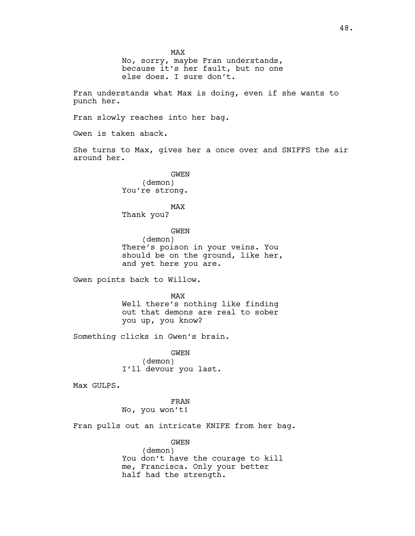MAX No, sorry, maybe Fran understands, because it's her fault, but no one else does. I sure don't.

Fran understands what Max is doing, even if she wants to punch her.

Fran slowly reaches into her bag.

Gwen is taken aback.

She turns to Max, gives her a once over and SNIFFS the air around her.

> GWEN (demon) You're strong.

MAX Thank you?

GWEN (demon) There's poison in your veins. You should be on the ground, like her, and yet here you are.

Gwen points back to Willow.

MAX Well there's nothing like finding out that demons are real to sober you up, you know?

Something clicks in Gwen's brain.

GWEN (demon) I'll devour you last.

Max GULPS.

FRAN No, you won't!

Fran pulls out an intricate KNIFE from her bag.

GWEN (demon) You don't have the courage to kill me, Francisca. Only your better half had the strength.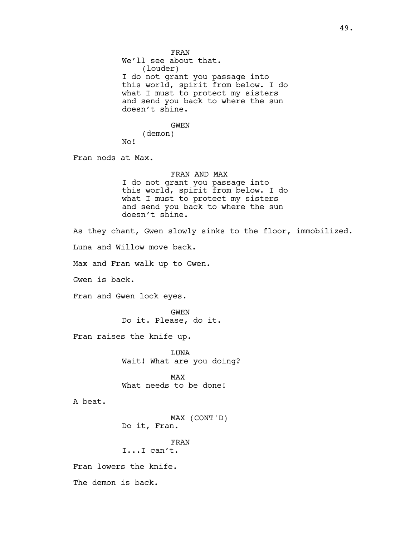FRAN We'll see about that. (louder) I do not grant you passage into this world, spirit from below. I do what I must to protect my sisters and send you back to where the sun doesn't shine. GWEN (demon) No! Fran nods at Max. FRAN AND MAX I do not grant you passage into this world, spirit from below. I do what I must to protect my sisters and send you back to where the sun doesn't shine. As they chant, Gwen slowly sinks to the floor, immobilized. Luna and Willow move back. Max and Fran walk up to Gwen. Gwen is back. Fran and Gwen lock eyes. GWEN Do it. Please, do it. Fran raises the knife up. LUNA Wait! What are you doing? MAX What needs to be done! A beat. MAX (CONT'D) Do it, Fran. FRAN I...I can't. Fran lowers the knife. The demon is back.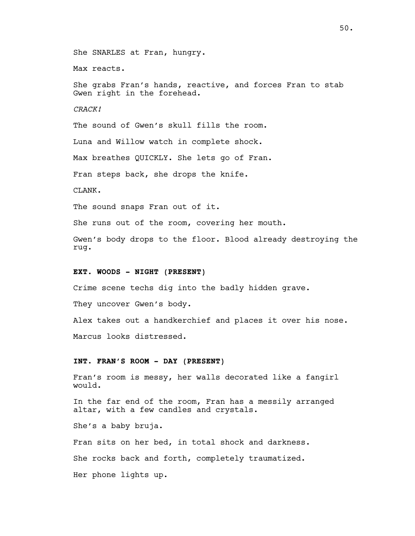She SNARLES at Fran, hungry.

Max reacts.

She grabs Fran's hands, reactive, and forces Fran to stab Gwen right in the forehead.

*CRACK!*

The sound of Gwen's skull fills the room.

Luna and Willow watch in complete shock.

Max breathes QUICKLY. She lets go of Fran.

Fran steps back, she drops the knife.

CLANK.

The sound snaps Fran out of it.

She runs out of the room, covering her mouth.

Gwen's body drops to the floor. Blood already destroying the rug.

# **EXT. WOODS - NIGHT (PRESENT)**

Crime scene techs dig into the badly hidden grave.

They uncover Gwen's body.

Alex takes out a handkerchief and places it over his nose. Marcus looks distressed.

# **INT. FRAN'S ROOM - DAY (PRESENT)**

Fran's room is messy, her walls decorated like a fangirl would.

In the far end of the room, Fran has a messily arranged altar, with a few candles and crystals.

She's a baby bruja.

Fran sits on her bed, in total shock and darkness. She rocks back and forth, completely traumatized. Her phone lights up.